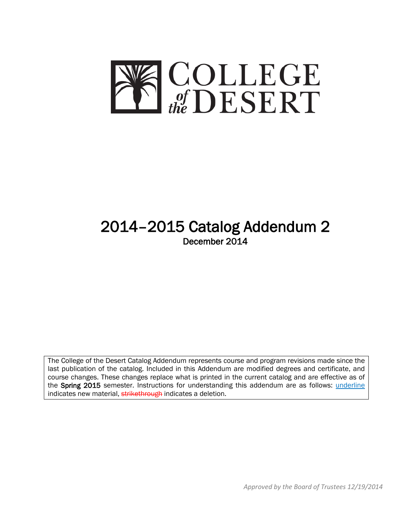

# 2014–2015 Catalog Addendum 2 December 2014

The College of the Desert Catalog Addendum represents course and program revisions made since the last publication of the catalog. Included in this Addendum are modified degrees and certificate, and course changes. These changes replace what is printed in the current catalog and are effective as of the Spring 2015 semester. Instructions for understanding this addendum are as follows: *underline* indicates new material, strikethrough indicates a deletion.

*Approved by the Board of Trustees 12/19/2014*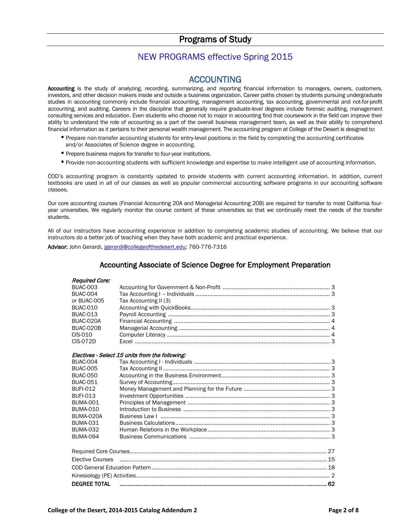# Programs of Study

# NEW PROGRAMS effective Spring 2015

ACCOUNTING<br>Accounting is the study of analyzing, recording, summarizing, and reporting financial information to managers, owners, customers, investors, and other decision makers inside and outside a business organization. Career paths chosen by students pursuing undergraduate studies in accounting commonly include financial accounting, management accounting, tax accounting, governmental and not-for-profit accounting, and auditing. Careers in the discipline that generally require graduate-level degrees include forensic auditing, management consulting services and education. Even students who choose not to major in accounting find that coursework in the field can improve their ability to understand the role of accounting as a part of the overall business management team, as well as their ability to comprehend financial information as it pertains to their personal wealth management. The accounting program at College of the Desert is designed to:

- •Prepare non-transfer accounting students for entry-level positions in the field by completing the accounting certificates and/or Associates of Science degree in accounting.
- •Prepare business majors for transfer to four-year institutions.
- •Provide non-accounting students with sufficient knowledge and expertise to make intelligent use of accounting information.

COD's accounting program is constantly updated to provide students with current accounting information. In addition, current textbooks are used in all of our classes as well as popular commercial accounting software programs in our accounting software classes.

Our core accounting courses (Financial Accounting 20A and Managerial Accounting 20B) are required for transfer to most California fouryear universities. We regularly monitor the course content of these universities so that we continually meet the needs of the transfer students.

All of our instructors have accounting experience in addition to completing academic studies of accounting. We believe that our instructors do a better job of teaching when they have both academic and practical experience.

Advisor: John Gerardi, [jgerardi@collegeofthedesert.edu;](mailto:jgerardi@collegeofthedesert.edu) 760-776-7316

### Accounting Associate of Science Degree for Employment Preparation

### Required Core:

| ncuuncu vurc.       |                                                 |  |
|---------------------|-------------------------------------------------|--|
| <b>BUAC-003</b>     |                                                 |  |
| <b>BUAC-004</b>     |                                                 |  |
| or BUAC-005         | Tax Accounting II (3)                           |  |
| <b>BUAC-010</b>     |                                                 |  |
| <b>BUAC-013</b>     |                                                 |  |
| BUAC-020A           |                                                 |  |
| BUAC-020B           |                                                 |  |
| CIS-010             |                                                 |  |
| $CIS-072D$          |                                                 |  |
|                     | Electives - Select 15 units from the following: |  |
| <b>BUAC-004</b>     |                                                 |  |
| <b>BUAC-005</b>     |                                                 |  |
| <b>BUAC-050</b>     |                                                 |  |
| <b>BUAC-051</b>     |                                                 |  |
| <b>BUFI-012</b>     |                                                 |  |
| <b>BUFI-013</b>     |                                                 |  |
| <b>BUMA-001</b>     |                                                 |  |
| <b>BUMA-010</b>     |                                                 |  |
| BUMA-020A           |                                                 |  |
| <b>BUMA-031</b>     |                                                 |  |
| <b>BUMA-032</b>     |                                                 |  |
| <b>BUMA-094</b>     |                                                 |  |
|                     |                                                 |  |
|                     |                                                 |  |
| Elective Courses    |                                                 |  |
|                     |                                                 |  |
|                     |                                                 |  |
| <b>DEGREE TOTAL</b> |                                                 |  |
|                     |                                                 |  |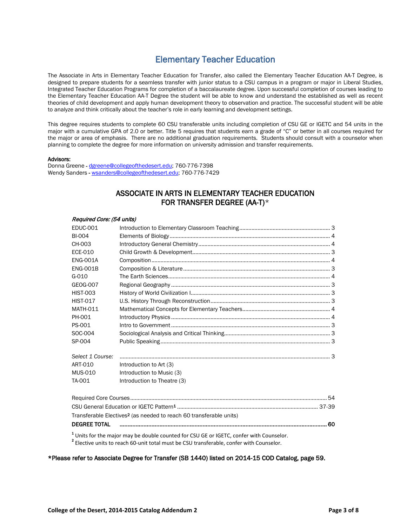# Elementary Teacher Education

The Associate in Arts in Elementary Teacher Education for Transfer, also called the Elementary Teacher Education AA-T Degree, is designed to prepare students for a seamless transfer with junior status to a CSU campus in a program or major in Liberal Studies, Integrated Teacher Education Programs for completion of a baccalaureate degree. Upon successful completion of courses leading to the Elementary Teacher Education AA-T Degree the student will be able to know and understand the established as well as recent theories of child development and apply human development theory to observation and practice. The successful student will be able to analyze and think critically about the teacher's role in early learning and development settings.

This degree requires students to complete 60 CSU transferable units including completion of CSU GE or IGETC and 54 units in the major with a cumulative GPA of 2.0 or better. Title 5 requires that students earn a grade of "C" or better in all courses required for the major or area of emphasis. There are no additional graduation requirements. Students should consult with a counselor when planning to complete the degree for more information on university admission and transfer requirements.

#### Advisors:

Donna Greene [- dgreene@collegeofthedesert.edu;](mailto:dgreene@collegeofthedesert.edu) 760-776-7398 Wendy Sanders - [wsanders@collegeofthedesert.edu;](mailto:wsanders@collegeofthedesert.edu) 760-776-7429

### ASSOCIATE IN ARTS IN ELEMENTARY TEACHER EDUCATION FOR TRANSFER DEGREE (AA-T)\*

#### Required Core: (54 units)

| <b>EDUC-001</b>     |                                                                                |     |
|---------------------|--------------------------------------------------------------------------------|-----|
| <b>BI-004</b>       |                                                                                |     |
| CH-003              |                                                                                |     |
| ECE-010             |                                                                                |     |
| <b>ENG-001A</b>     |                                                                                |     |
| <b>ENG-001B</b>     |                                                                                |     |
| G-010               |                                                                                |     |
| GEOG-007            |                                                                                |     |
| <b>HIST-003</b>     |                                                                                |     |
| <b>HIST-017</b>     |                                                                                |     |
| <b>MATH-011</b>     |                                                                                |     |
| PH-001              |                                                                                |     |
| PS-001              |                                                                                |     |
| SOC-004             |                                                                                |     |
| SP-004              |                                                                                |     |
| Select 1 Course:    |                                                                                |     |
| ART-010             | Introduction to Art (3)                                                        |     |
| <b>MUS-010</b>      | Introduction to Music (3)                                                      |     |
| TA-001              | Introduction to Theatre (3)                                                    |     |
|                     |                                                                                |     |
|                     |                                                                                |     |
|                     | Transferable Electives <sup>2</sup> (as needed to reach 60 transferable units) |     |
| <b>DEGREE TOTAL</b> |                                                                                | -60 |
|                     |                                                                                |     |

**<sup>1</sup>** Units for the major may be double counted for CSU GE or IGETC, confer with Counselor. **<sup>2</sup>** Elective units to reach 60-unit total must be CSU transferable, confer with Counselor.

#### \*Please refer to Associate Degree for Transfer (SB 1440) listed on 2014-15 COD Catalog, page 59.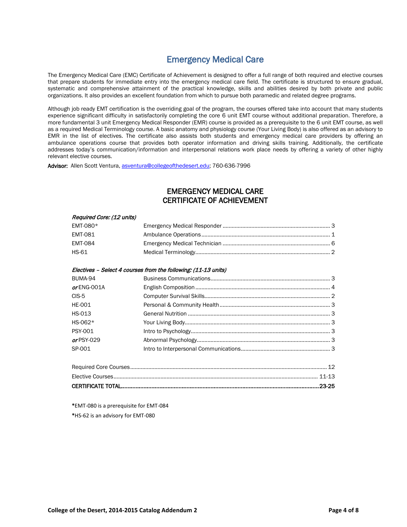# Emergency Medical Care

The Emergency Medical Care (EMC) Certificate of Achievement is designed to offer a full range of both required and elective courses that prepare students for immediate entry into the emergency medical care field. The certificate is structured to ensure gradual, systematic and comprehensive attainment of the practical knowledge, skills and abilities desired by both private and public organizations. It also provides an excellent foundation from which to pursue both paramedic and related degree programs.

Although job ready EMT certification is the overriding goal of the program, the courses offered take into account that many students experience significant difficulty in satisfactorily completing the core 6 unit EMT course without additional preparation. Therefore, a more fundamental 3 unit Emergency Medical Responder (EMR) course is provided as a prerequisite to the 6 unit EMT course, as well as a required Medical Terminology course. A basic anatomy and physiology course (Your Living Body) is also offered as an advisory to EMR in the list of electives. The certificate also assists both students and emergency medical care providers by offering an ambulance operations course that provides both operator information and driving skills training. Additionally, the certificate addresses today's communication/information and interpersonal relations work place needs by offering a variety of other highly relevant elective courses.

Advisor: Allen Scott Ventura[, asventura@collegeofthedesert.edu;](mailto:asventura@collegeofthedesert.edu) 760-636-7996

# EMERGENCY MEDICAL CARE CERTIFICATE OF ACHIEVEMENT

| Required Core: (12 units) |                                                                |  |
|---------------------------|----------------------------------------------------------------|--|
| EMT-080*                  |                                                                |  |
| <b>EMT-081</b>            |                                                                |  |
| <b>EMT-084</b>            |                                                                |  |
| <b>HS-61</b>              |                                                                |  |
|                           | Electives - Select 4 courses from the following: (11-13 units) |  |
| BUMA-94                   |                                                                |  |
| or ENG-001A               |                                                                |  |
| $CIS-5$                   |                                                                |  |
| <b>HE-001</b>             |                                                                |  |
| <b>HS-013</b>             |                                                                |  |
| HS-062*                   |                                                                |  |
| <b>PSY-001</b>            |                                                                |  |
| orPSY-029                 |                                                                |  |
| SP-001                    |                                                                |  |
|                           |                                                                |  |
|                           |                                                                |  |
|                           |                                                                |  |

**\***EMT-080 is a prerequisite for EMT-084 **\***HS-62 is an advisory for EMT-080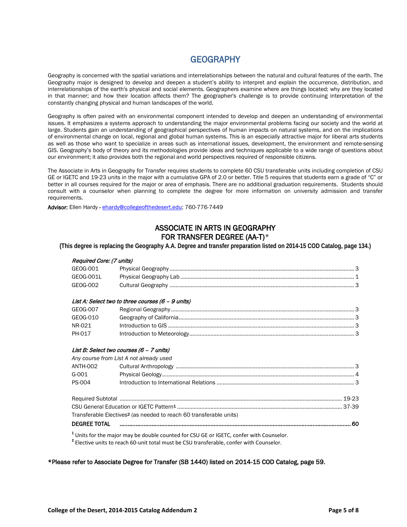# **GEOGRAPHY**

Geography is concerned with the spatial variations and interrelationships between the natural and cultural features of the earth. The Geography major is designed to develop and deepen a student's ability to interpret and explain the occurrence, distribution, and interrelationships of the earth's physical and social elements. Geographers examine where are things located; why are they located in that manner; and how their location affects them? The geographer's challenge is to provide continuing interpretation of the constantly changing physical and human landscapes of the world.

Geography is often paired with an environmental component intended to develop and deepen an understanding of environmental issues. It emphasizes a systems approach to understanding the major environmental problems facing our society and the world at large. Students gain an understanding of geographical perspectives of human impacts on natural systems, and on the implications of environmental change on local, regional and global human systems. This is an especially attractive major for liberal arts students as well as those who want to specialize in areas such as international issues, development, the environment and remote-sensing GIS. Geography's body of theory and its methodologies provide ideas and techniques applicable to a wide range of questions about our environment; it also provides both the regional and world perspectives required of responsible citizens.

The Associate in Arts in Geography for Transfer requires students to complete 60 CSU transferable units including completion of CSU GE or IGETC and 19-23 units in the major with a cumulative GPA of 2.0 or better. Title 5 requires that students earn a grade of "C" or better in all courses required for the major or area of emphasis. There are no additional graduation requirements. Students should consult with a counselor when planning to complete the degree for more information on university admission and transfer requirements.

Advisor: Ellen Hardy - [ehardy@collegeofthedesert.edu;](mailto:ehardy@collegeofthedesert.edu) 760-776-7449

# ASSOCIATE IN ARTS IN GEOGRAPHY FOR TRANSFER DEGREE (AA-T)\*

**(This degree is replacing the Geography A.A. Degree and transfer preparation listed on 2014-15 COD Catalog, page 134.)**

### Required Core: (7 units)

| GEOG-001  |  |
|-----------|--|
| GEOG-001L |  |
| GEOG-002  |  |

#### List A: Select two to three courses (6 – 9 units)

| GEOG-007 |  |
|----------|--|
| GEOG-010 |  |
| NR-021   |  |
| PH-017   |  |

#### List B: Select two courses (6 – 7 units)

*Any course from List A not already used*

| $G-001$       |                                                                                |  |
|---------------|--------------------------------------------------------------------------------|--|
| <b>PS-004</b> |                                                                                |  |
|               |                                                                                |  |
|               |                                                                                |  |
|               | Transferable Electives <sup>2</sup> (as needed to reach 60 transferable units) |  |

### DEGREE TOTAL ................................................................................................................................................. 60

**<sup>1</sup>** Units for the major may be double counted for CSU GE or IGETC, confer with Counselor. **<sup>2</sup>** Elective units to reach 60-unit total must be CSU transferable, confer with Counselor.

\*Please refer to Associate Degree for Transfer (SB 1440) listed on 2014-15 COD Catalog, page 59.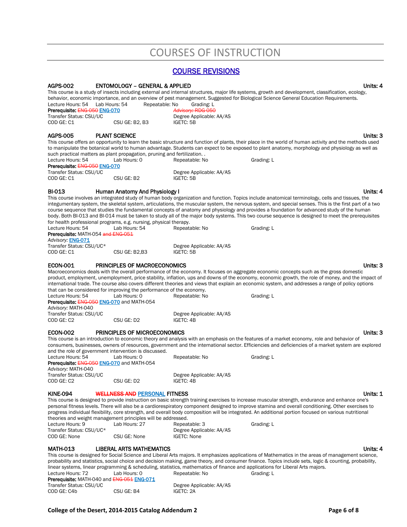# COURSES OF INSTRUCTION

### COURSE REVISIONS

#### AGPS-002 ENTOMOLOGY – GENERAL & APPLIED Units: 4

This course is a study of insects including external and internal structures, major life systems, growth and development, classification, ecology, behavior, economic importance, and an overview of pest management. Suggested for Biological Science General Education Requirements.

| Lecture Hours: 54             | Lab Hours: 54  | Repeatable: No | Grading: L               |
|-------------------------------|----------------|----------------|--------------------------|
| Prerequisite: ENG-050 ENG-070 |                |                | Advisory: RDG-050        |
| Transfer Status: CSU/UC       |                |                | Degree Applicable: AA/AS |
| COD GE: C1                    | CSU GE: B2, B3 |                | IGETC: 5B                |

#### AGPS-005 PLANT SCIENCE **PLANT SCIENCE PLANT SCIENCE**

This course offers an opportunity to learn the basic structure and function of plants, their place in the world of human activity and the methods used to manipulate the botanical world to human advantage. Students can expect to be exposed to plant anatomy, morphology and physiology as well as such practical matters as plant propagation, pruning and fertilization. .<br>Lecture Hours: 54 Lab Hours: 0 Repeatable: No Lecture Hours: 54 Lab Hours: 0 Repeatable: No Grading: L

| Prerequisite: ENG-050 ENG-070 |            |                          |  |  |  |
|-------------------------------|------------|--------------------------|--|--|--|
| Transfer Status: CSU/UC       |            | Degree Applicable: AA/AS |  |  |  |
| COD GE: C1                    | CSU GE: B2 | IGETC: 5B                |  |  |  |

#### BI-013 Human Anatomy And Physiology I Units: 4

This course involves an integrated study of human body organization and function. Topics include anatomical terminology, cells and tissues, the integumentary system, the skeletal system, articulations, the muscular system, the nervous system, and special senses. This is the first part of a two course sequence that studies the fundamental concepts of anatomy and physiology and provides a foundation for advanced study of the human body. Both BI-013 and BI-014 must be taken to study all of the major body systems. This two course sequence is designed to meet the prerequisites for health professional programs, e.g. nursing, physical therapy.

Lecture Hours: 54 Lab Hours: 54 Repeatable: No Grading: L Prerequisite: MATH-054 and ENG-051 Advisory: **ENG-071**<br>Transfer Status: CSU/UC\* Transfer Status: CSU/UC\* Degree Applicable: AA/AS<br>
COD GE: C1 COD CE: B2,B3 IGETC: 5B

CSU GE: B2,B3 IGETC: 5B

#### ECON-001 PRINCIPLES OF MACROECONOMICS Units: 3

Macroeconomics deals with the overall performance of the economy. It focuses on aggregate economic concepts such as the gross domestic product, employment, unemployment, price stability, inflation, ups and downs of the economy, economic growth, the role of money, and the impact of international trade. The course also covers different theories and views that explain an economic system, and addresses a range of policy options that can be considered for improving the performance of the economy.<br>Lecture Hours: 54 [ab Hours: 0] Repeatable: No Lecture Hours: 54 Lab Hours: 0 Repeatable: No Grading: L Prerequisite: ENG-050 ENG-070 and MATH-054

*Advisory:* MATH-040 Transfer Status: CSU/UC<br>
COD GE: C2 CSU GE: D2 CSU GE: D2 GETC: 4B CSU GE: D2

#### ECON-002 PRINCIPLES OF MICROECONOMICS Units: 3

This course is an introduction to economic theory and analysis with an emphasis on the features of a market economy, role and behavior of consumers, businesses, owners of resources, government and the international sector. Efficiencies and deficiencies of a market system are explored and the role of government intervention is discussed. Lecture Hours: 54 Lab Hours: 0 Repeatable: No Grading: L

Prerequisite: ENG-050 ENG-070 and MATH-054 *Advisory:* MATH-040

Transfer Status: CSU/UC<br>
COD GE: C2 CSU GE: D2 CSU GE: D2 CSU GETC: 4B CSU GE: D2

KINE-094 WELLNESS AND PERSONAL FITNESS WAS CONSIDERED ASSESSED. THE RESIDENCE OF A SERIES ON THE UNITS: 1

This course is designed to provide instruction on basic strength training exercises to increase muscular strength, endurance and enhance one's personal fitness levels. There will also be a cardiorespiratory component designed to improve stamina and overall conditioning. Other exercises to progress individual flexibility, core strength, and overall body composition will be integrated. An additional portion focused on various nutritional theories and weight management principles will be addressed.

| Lecture Hours: 9         | Lab Hours: 27 | Repeatable: 3            | Grading: L |
|--------------------------|---------------|--------------------------|------------|
| Transfer Status: CSU/UC* |               | Degree Applicable: AA/AS |            |
| COD GE: None             | CSU GE: None  | IGETC: None              |            |

#### MATH-013 LIBERAL ARTS MATHEMATICS **Example 20 and 20 and 20 and 20 and 20 and 20 and 20 and 20 and 20 and 20 and 20 and 20 and 20 and 20 and 20 and 20 and 20 and 20 and 20 and 20 and 20 and 20 and 20 and 20 and 20 and 20 a**

This course is designed for Social Science and Liberal Arts majors. It emphasizes applications of Mathematics in the areas of management science, probability and statistics, social choice and decision making, game theory, and consumer finance. Topics include sets, logic & counting, probability, linear systems, linear programming & scheduling, statistics, mathematics of finance and applications for Liberal Arts majors.<br>Lecture Hours: 72 Lab Hours: 0 Repeatable: No Grading: 1 Lab Hours: 0 Repeatable: No Grading: L

| Prerequisite: MATH-040 and ENG-051 ENG-071 |  |  |
|--------------------------------------------|--|--|
| Transfer Status: CSU/UC                    |  |  |

COD GE: C4b CSU GE: B4 IGETC: 2A

Degree Applicable: AA/AS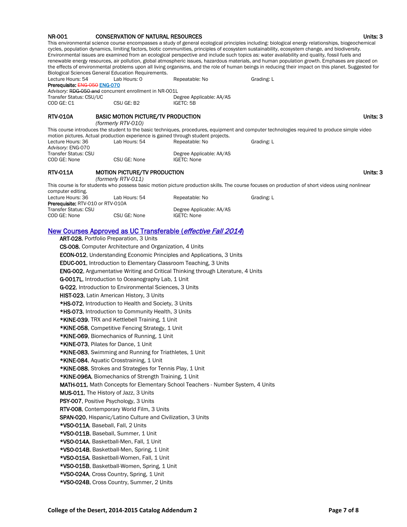| <b>NR-001</b>                                                                                                                                                                                                                                                                                                                                                                                                                                                                                                                                                                                                                                                                                                                                                                                                                                                                                                                                                                                                                                                                                                                                                                                                                                                                                                                                                                                                                                                                                                                                                                                                                                                                                  | <b>CONSERVATION OF NATURAL RESOURCES</b>                                                                                      |                                                | This environmental science course encompasses a study of general ecological principles including: biological energy relationships, biogeochemical<br>cycles, population dynamics, limiting factors, biotic communities, principles of ecosystem sustainability, ecosystem change, and biodiversity.<br>Environmental issues are examined from an ecological perspective and include such topics as: water availability and quality, fossil fuels and<br>renewable energy resources, air pollution, global atmospheric issues, hazardous materials, and human population growth. Emphases are placed on<br>the effects of environmental problems upon all living organisms, and the role of human beings in reducing their impact on this planet. Suggested for | Units: 3 |
|------------------------------------------------------------------------------------------------------------------------------------------------------------------------------------------------------------------------------------------------------------------------------------------------------------------------------------------------------------------------------------------------------------------------------------------------------------------------------------------------------------------------------------------------------------------------------------------------------------------------------------------------------------------------------------------------------------------------------------------------------------------------------------------------------------------------------------------------------------------------------------------------------------------------------------------------------------------------------------------------------------------------------------------------------------------------------------------------------------------------------------------------------------------------------------------------------------------------------------------------------------------------------------------------------------------------------------------------------------------------------------------------------------------------------------------------------------------------------------------------------------------------------------------------------------------------------------------------------------------------------------------------------------------------------------------------|-------------------------------------------------------------------------------------------------------------------------------|------------------------------------------------|----------------------------------------------------------------------------------------------------------------------------------------------------------------------------------------------------------------------------------------------------------------------------------------------------------------------------------------------------------------------------------------------------------------------------------------------------------------------------------------------------------------------------------------------------------------------------------------------------------------------------------------------------------------------------------------------------------------------------------------------------------------|----------|
| Lecture Hours: 54<br>Prerequisite: ENG-050 ENG-070                                                                                                                                                                                                                                                                                                                                                                                                                                                                                                                                                                                                                                                                                                                                                                                                                                                                                                                                                                                                                                                                                                                                                                                                                                                                                                                                                                                                                                                                                                                                                                                                                                             | Biological Sciences General Education Requirements.<br>Lab Hours: 0<br>Advisory: RDG-050 and concurrent enrollment in NR-001L | Repeatable: No                                 | Grading: L                                                                                                                                                                                                                                                                                                                                                                                                                                                                                                                                                                                                                                                                                                                                                     |          |
| Transfer Status: CSU/UC<br>COD GE: C1                                                                                                                                                                                                                                                                                                                                                                                                                                                                                                                                                                                                                                                                                                                                                                                                                                                                                                                                                                                                                                                                                                                                                                                                                                                                                                                                                                                                                                                                                                                                                                                                                                                          | CSU GE: B2                                                                                                                    | Degree Applicable: AA/AS<br>IGETC: 5B          |                                                                                                                                                                                                                                                                                                                                                                                                                                                                                                                                                                                                                                                                                                                                                                |          |
| <b>RTV-010A</b>                                                                                                                                                                                                                                                                                                                                                                                                                                                                                                                                                                                                                                                                                                                                                                                                                                                                                                                                                                                                                                                                                                                                                                                                                                                                                                                                                                                                                                                                                                                                                                                                                                                                                | <b>BASIC MOTION PICTURE/TV PRODUCTION</b><br>(formerly RTV-010)                                                               |                                                |                                                                                                                                                                                                                                                                                                                                                                                                                                                                                                                                                                                                                                                                                                                                                                | Units: 3 |
|                                                                                                                                                                                                                                                                                                                                                                                                                                                                                                                                                                                                                                                                                                                                                                                                                                                                                                                                                                                                                                                                                                                                                                                                                                                                                                                                                                                                                                                                                                                                                                                                                                                                                                |                                                                                                                               |                                                | This course introduces the student to the basic techniques, procedures, equipment and computer technologies required to produce simple video                                                                                                                                                                                                                                                                                                                                                                                                                                                                                                                                                                                                                   |          |
| Lecture Hours: 36<br>Advisory: ENG-070                                                                                                                                                                                                                                                                                                                                                                                                                                                                                                                                                                                                                                                                                                                                                                                                                                                                                                                                                                                                                                                                                                                                                                                                                                                                                                                                                                                                                                                                                                                                                                                                                                                         | motion pictures. Actual production experience is gained through student projects.<br>Lab Hours: 54                            | Repeatable: No                                 | Grading: L                                                                                                                                                                                                                                                                                                                                                                                                                                                                                                                                                                                                                                                                                                                                                     |          |
| Transfer Status: CSU<br>COD GE: None                                                                                                                                                                                                                                                                                                                                                                                                                                                                                                                                                                                                                                                                                                                                                                                                                                                                                                                                                                                                                                                                                                                                                                                                                                                                                                                                                                                                                                                                                                                                                                                                                                                           | CSU GE: None                                                                                                                  | Degree Applicable: AA/AS<br><b>IGETC: None</b> |                                                                                                                                                                                                                                                                                                                                                                                                                                                                                                                                                                                                                                                                                                                                                                |          |
| <b>RTV-011A</b>                                                                                                                                                                                                                                                                                                                                                                                                                                                                                                                                                                                                                                                                                                                                                                                                                                                                                                                                                                                                                                                                                                                                                                                                                                                                                                                                                                                                                                                                                                                                                                                                                                                                                | <b>MOTION PICTURE/TV PRODUCTION</b><br>(formerly RTV-011)                                                                     |                                                |                                                                                                                                                                                                                                                                                                                                                                                                                                                                                                                                                                                                                                                                                                                                                                | Units: 3 |
|                                                                                                                                                                                                                                                                                                                                                                                                                                                                                                                                                                                                                                                                                                                                                                                                                                                                                                                                                                                                                                                                                                                                                                                                                                                                                                                                                                                                                                                                                                                                                                                                                                                                                                |                                                                                                                               |                                                | This course is for students who possess basic motion picture production skills. The course focuses on production of short videos using nonlinear                                                                                                                                                                                                                                                                                                                                                                                                                                                                                                                                                                                                               |          |
| computer editing.<br>Lecture Hours: 36<br>Prerequisite: RTV-010 or RTV-010A                                                                                                                                                                                                                                                                                                                                                                                                                                                                                                                                                                                                                                                                                                                                                                                                                                                                                                                                                                                                                                                                                                                                                                                                                                                                                                                                                                                                                                                                                                                                                                                                                    | Lab Hours: 54                                                                                                                 | Repeatable: No                                 | Grading: L                                                                                                                                                                                                                                                                                                                                                                                                                                                                                                                                                                                                                                                                                                                                                     |          |
| Transfer Status: CSU<br>COD GE: None                                                                                                                                                                                                                                                                                                                                                                                                                                                                                                                                                                                                                                                                                                                                                                                                                                                                                                                                                                                                                                                                                                                                                                                                                                                                                                                                                                                                                                                                                                                                                                                                                                                           | CSU GE: None                                                                                                                  | Degree Applicable: AA/AS<br><b>IGETC: None</b> |                                                                                                                                                                                                                                                                                                                                                                                                                                                                                                                                                                                                                                                                                                                                                                |          |
| <u>New Courses Approved as UC Transferable (effective Fall 2014)</u><br>ART-028, Portfolio Preparation, 3 Units<br>CS-008, Computer Architecture and Organization, 4 Units<br><b>ECON-012</b> , Understanding Economic Principles and Applications, 3 Units<br><b>EDUC-001.</b> Introduction to Elementary Classroom Teaching, 3 Units<br><b>ENG-002</b> , Argumentative Writing and Critical Thinking through Literature, 4 Units<br>G-0017L, Introduction to Oceanography Lab, 1 Unit<br>G-022, Introduction to Environmental Sciences, 3 Units<br>HIST-023, Latin American History, 3 Units<br>*HS-072, Introduction to Health and Society, 3 Units<br>*HS-073, Introduction to Community Health, 3 Units<br>*KINE-039, TRX and Kettlebell Training, 1 Unit<br>*KINE-058, Competitive Fencing Strategy, 1 Unit<br>*KINE-069, Biomechanics of Running, 1 Unit<br>*KINE-073, Pilates for Dance, 1 Unit<br>*KINE-083, Swimming and Running for Triathletes, 1 Unit<br>*KINE-084, Aquatic Crosstraining, 1 Unit<br>*KINE-088, Strokes and Strategies for Tennis Play, 1 Unit<br>*KINE-096A, Biomechanics of Strength Training, 1 Unit<br><b>MATH-011</b> , Math Concepts for Elementary School Teachers - Number System, 4 Units<br>MUS-011, The History of Jazz, 3 Units<br>PSY-007, Positive Psychology, 3 Units<br>RTV-008, Contemporary World Film, 3 Units<br>SPAN-020, Hispanic/Latino Culture and Civilization, 3 Units<br>*VSO-011A, Baseball, Fall, 2 Units<br>*VSO-011B, Baseball, Summer, 1 Unit<br>*VSO-014A, Basketball-Men, Fall, 1 Unit<br>*VSO-014B, Basketball-Men, Spring, 1 Unit<br>*VSO-015A, Basketball-Women, Fall, 1 Unit<br>*VSO-015B, Basketball-Women, Spring, 1 Unit |                                                                                                                               |                                                |                                                                                                                                                                                                                                                                                                                                                                                                                                                                                                                                                                                                                                                                                                                                                                |          |